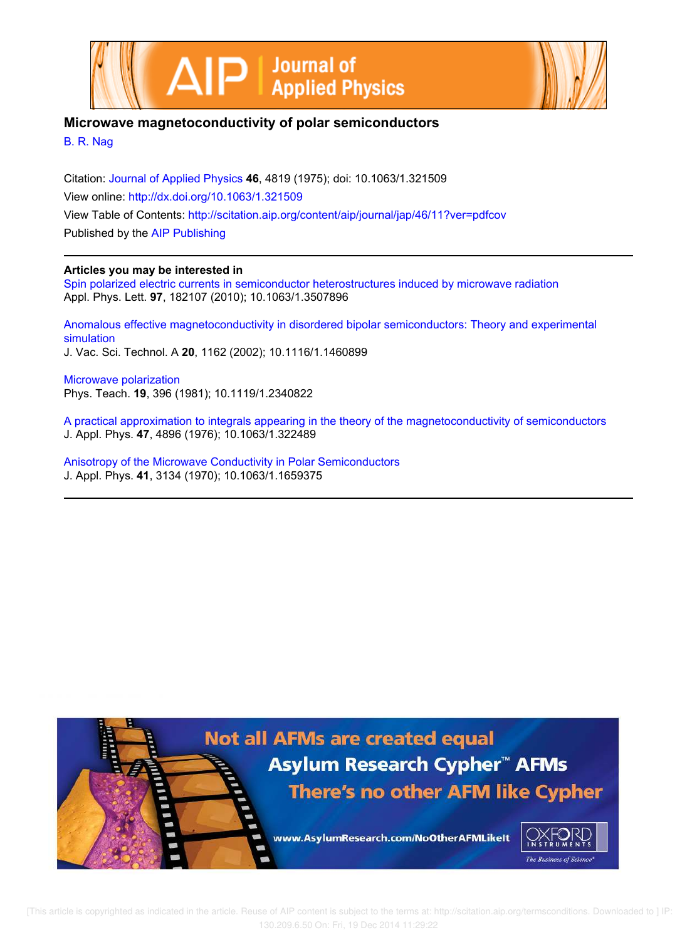



## **Microwave magnetoconductivity of polar semiconductors**

B. R. Nag

Citation: Journal of Applied Physics **46**, 4819 (1975); doi: 10.1063/1.321509 View online: http://dx.doi.org/10.1063/1.321509 View Table of Contents: http://scitation.aip.org/content/aip/journal/jap/46/11?ver=pdfcov Published by the AIP Publishing

### **Articles you may be interested in**

Spin polarized electric currents in semiconductor heterostructures induced by microwave radiation Appl. Phys. Lett. **97**, 182107 (2010); 10.1063/1.3507896

Anomalous effective magnetoconductivity in disordered bipolar semiconductors: Theory and experimental simulation J. Vac. Sci. Technol. A **20**, 1162 (2002); 10.1116/1.1460899

Microwave polarization Phys. Teach. **19**, 396 (1981); 10.1119/1.2340822

A practical approximation to integrals appearing in the theory of the magnetoconductivity of semiconductors J. Appl. Phys. **47**, 4896 (1976); 10.1063/1.322489

Anisotropy of the Microwave Conductivity in Polar Semiconductors J. Appl. Phys. **41**, 3134 (1970); 10.1063/1.1659375

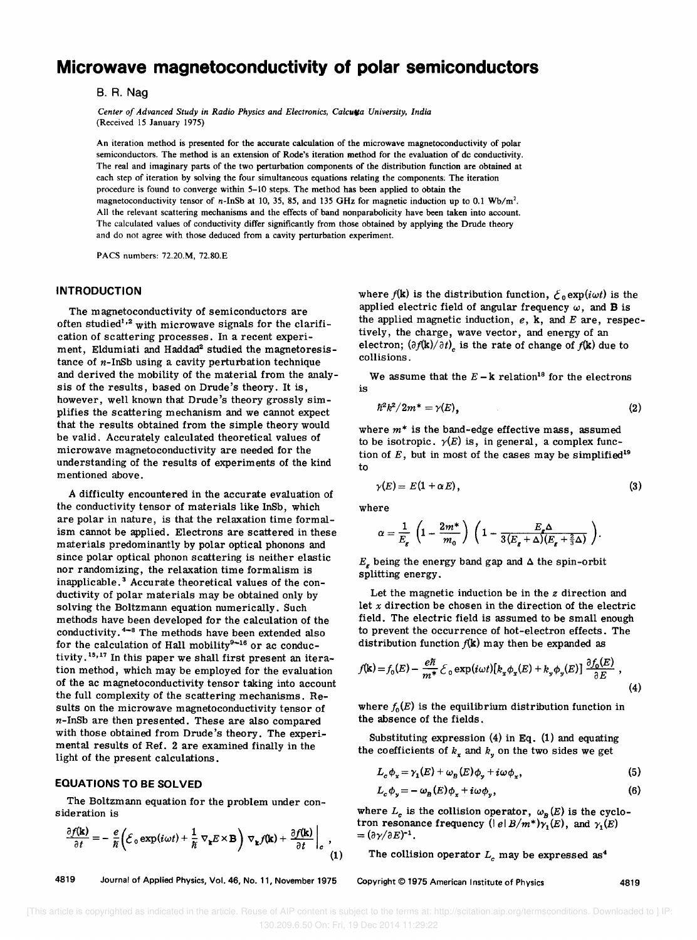# **Microwave magnetoconductivity of polar semiconductors**

B. R. Nag

*Center of Advanced Study in Radio Physics and Electronics, Calcutta University, India* (Received 15 January 1975)

An iteration method is presented for the accurate calculation of the microwave magnetoconductivity of polar semiconductors. The method is an extension of Rode's iteration method for the evaluation of dc conductivity. The real and imaginary parts of the two perturbation components of the distribution function are obtained at each step of iteration by solving the four simultaneous equations relating the components; The iteration procedure is found to converge within 5-10 steps. The method has been applied to obtain the magnetoconductivity tensor of n-InSb at 10,35, 85, and 135 GHz for magnetic induction up to 0.1 *Wb/m'.*  All the relevant scattering mechanisms and the effects of band nonparabolicity have been taken into account. The calculated values of conductivity differ significantly from those obtained by applying the Drude theory and do not agree with those deduced from a cavity perturbation experiment.

PACS numbers: 72.20.M, 72.80.E

#### **INTRODUCTION**

The magnetoconductivity of semiconductors are often studied<sup>1,2</sup> with microwave signals for the clarification of scattering processes. In a recent experiment, Eldumiati and Haddad<sup>2</sup> studied the magnetoresistance of  $n$ -InSb using a cavity perturbation technique and derived the mobility of the material from the analysis of the results, based on Drude's theory. It is, however, well known that Drude's theory grossly simplifies the scattering mechanism and we cannot expect that the results obtained from the simple theory would be valid. Accurately calculated theoretical values of microwave magnetoconductivity are needed for the understanding of the results of experiments of the kind mentioned above.

A difficulty encountered in the accurate evaluation of the conductivity tensor of materials like InSb, which are polar in nature, is that the relaxation time formalism cannot be applied. Electrons are scattered in these materials predominantly by polar optical phonons and since polar optical phonon scattering is neither elastic nor randomizing, the relaxation time formalism is inapplicable. 3 Accurate theoretical values of the conductivity of polar materials may be obtained only by solving the Boltzmann equation numerically. Such methods have been developed for the calculation of the conductivity. 4-8 The methods have been extended also for the calculation of Hall mobility $9-16$  or ac conductivity.15,17 In this paper we shall first present an iteration method, which may be employed for the evaluation of the ac magnetoconductivity tensor taking into account the full complexity of the scattering mechanisms. Results on the microwave magnetoconductivity tensor of n-InSb are then presented. These are also compared with those obtained from Drude's theory. The experimental results of Ref. 2 are examined finally in the light of the present calculations.

#### **EQUATIONS TO BE SOLVED**

The Boltzmann equation for the problem under consideration is

$$
\frac{\partial f(\mathbf{k})}{\partial t} = -\frac{e}{\hbar} \left( \mathcal{E}_0 \exp(i\omega t) + \frac{1}{\hbar} \nabla_{\mathbf{k}} E \times \mathbf{B} \right) \nabla_{\mathbf{k}} f(\mathbf{k}) + \frac{\partial f(\mathbf{k})}{\partial t} \bigg|_{c}, \tag{1}
$$

4819 Journal of Applied Physics, Vol. 46, No. 11, November 1975

where  $f(k)$  is the distribution function,  $\mathcal{E}_0 \exp(i\omega t)$  is the applied electric field of angular frequency  $\omega$ , and **B** is the applied magnetic induction, *e,* k, and *E* are, respectively, the charge, wave vector, and energy of an electron;  $(\partial f(\mathbf{k})/\partial t)$ <sub>c</sub> is the rate of change of  $f(\mathbf{k})$  due to collisions.

We assume that the  $E - k$  relation<sup>18</sup> for the electrons is

$$
\hbar^2k^2/2m^*=\gamma(E),\qquad \qquad (2)
$$

where *m\** is the band-edge effective mass, assumed to be isotropic.  $\gamma(E)$  is, in general, a complex function of  $E$ , but in most of the cases may be simplified<sup>19</sup> to

$$
\gamma(E) = E(1 + \alpha E), \tag{3}
$$

where

$$
\alpha = \frac{1}{E_{\epsilon}} \left( 1 - \frac{2m^*}{m_0} \right) \left( 1 - \frac{E_{\epsilon} \Delta}{3(E_{\epsilon} + \Delta)(E_{\epsilon} + \frac{2}{3} \Delta)} \right).
$$

 $E<sub>r</sub>$  being the energy band gap and  $\Delta$  the spin-orbit splitting energy.

Let the magnetic induction be in the  $z$  direction and let *x* direction be chosen in the direction of the electric field. The electric field is assumed to be small enough to prevent the occurrence of hot-electron effects. The distribution function  $f(k)$  may then be expanded as

$$
f(\mathbf{k}) = f_0(E) - \frac{e\hbar}{m^*} \mathcal{E}_0 \exp(i\omega t) [k_x \phi_x(E) + k_y \phi_y(E)] \frac{\partial f_0(E)}{\partial E},
$$
\n(4)

where  $f_0(E)$  is the equilibrium distribution function in the absence of the fields.

Substituting expression (4) in Eq. (1) and equating the coefficients of  $k_x$  and  $k_y$  on the two sides we get

$$
L_c \phi_x = \gamma_1(E) + \omega_B(E) \phi_y + i \omega \phi_x, \qquad (5)
$$

$$
L_c \phi_y = -\omega_B(E)\phi_x + i\omega\phi_y, \qquad (6)
$$

where  $L_c$  is the collision operator,  $\omega_B(E)$  is the cyclotron resonance frequency ( $|e|B/m^*$ ) $\overline{y}_1(E)$ , and  $\gamma_1(E)$  $= (\partial \gamma / \partial E)^{-1}.$ 

The collision operator  $L_c$  may be expressed as<sup>4</sup>

Copyright © 1975 American Institute of Physics 4819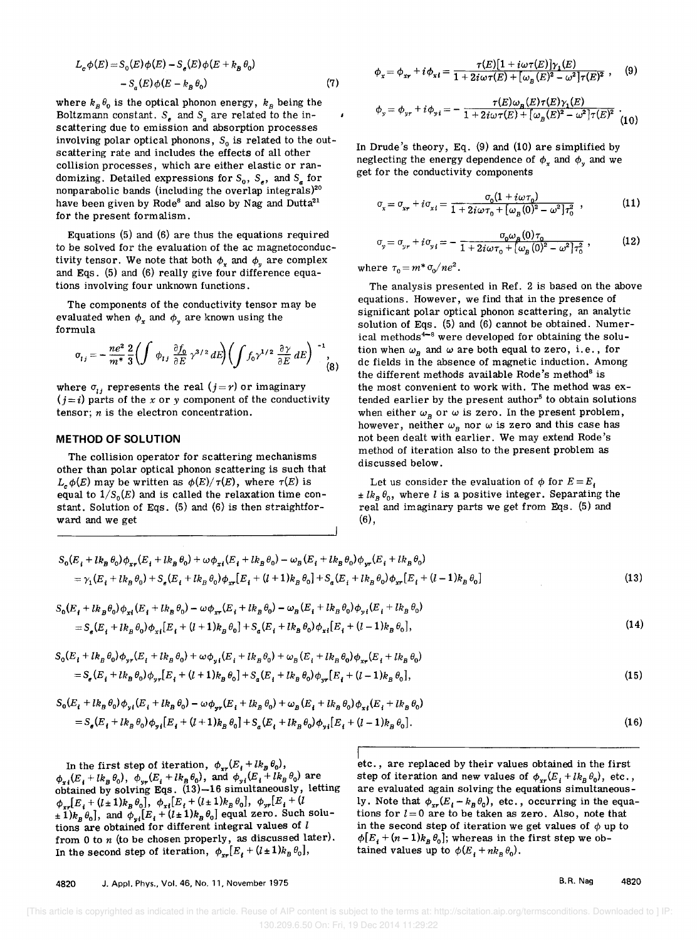$$
L_c \phi(E) = S_0(E) \phi(E) - S_e(E) \phi(E + k_B \theta_0)
$$
  
- S\_a(E) \phi(E - k\_B \theta\_0) (7)

where  $k_B \theta_0$  is the optical phonon energy,  $k_B$  being the Boltzmann constant.  $S_e$  and  $S_a$  are related to the inscattering due to emission and absorption processes involving polar optical phonons,  $S_0$  is related to the outscattering rate and includes the effects of all other collision processes, which are either elastic or randomizing. Detailed expressions for  $S_0$ ,  $S_2$ , and  $S_a$  for nonparabolic bands (including the overlap integrals)<sup>20</sup> have been given by Rode<sup>8</sup> and also by Nag and Dutta<sup>21</sup> for the present formalism.

Equations (5) and (6) are thus the equations required to be solved for the evaluation of the ac magnetoconductivity tensor. We note that both  $\phi_r$  and  $\phi_y$  are complex and Eqs. (5) and (6) really give four difference equations involving four unknown functions.

The components of the conductivity tensor may be evaluated when  $\phi_x$  and  $\phi_y$  are known using the formula

$$
\sigma_{ij} = -\frac{ne^2}{m^*} \frac{2}{3} \left( \int \phi_{ij} \frac{\partial f_0}{\partial E} \gamma^{3/2} dE \right) \left( \int f_0 \gamma^{1/2} \frac{\partial \gamma}{\partial E} dE \right)^{-1}, \tag{8}
$$

where  $\sigma_{ij}$  represents the real  $(j = r)$  or imaginary  $(j = i)$  parts of the *x* or *y* component of the conductivity tensor; *n* is the electron concentration.

#### **METHOD OF SOLUTION**

The collision operator for scattering mechanisms other than polar optical phonon scattering is such that  $L_c \phi(E)$  may be written as  $\phi(E)/\tau(E)$ , where  $\tau(E)$  is equal to  $1/S_0(E)$  and is called the relaxation time constant. Solution of Eqs. (5) and (6) is then straightforward and we get

$$
\phi_x = \phi_{xr} + i\phi_{x\ell} = \frac{\tau(E)[1 + i\omega\tau(E)]\gamma_1(E)}{1 + 2i\omega\tau(E) + [\omega_B(E)^2 - \omega^2]\tau(E)^2},
$$
(9)

$$
\phi_y = \phi_{yr} + i \phi_{yi} = -\frac{\tau(E)\omega_B(E)\tau(E)\gamma_1(E)}{1 + 2i\omega\tau(E) + [\omega_B(E)^2 - \omega^2]\tau(E)^2}.
$$
 (10)

In Drude's theory, Eq. (9) and (10) are simplified by neglecting the energy dependence of  $\phi_r$  and  $\phi_y$  and we get for the conductivity components

$$
\sigma_x = \sigma_{xr} + i\sigma_{xi} = \frac{\sigma_0 (1 + i\omega \tau_0)}{1 + 2i\omega \tau_0 + [\omega_B (0)^2 - \omega^2] \tau_0^2},
$$
(11)

$$
\sigma_{y} = \sigma_{y r} + i \sigma_{y i} = -\frac{\sigma_{0} \omega_{B} (0) \tau_{0}}{1 + 2i \omega \tau_{0} + [\omega_{B} (0)^{2} - \omega^{2}] \tau_{0}^{2}} , \qquad (12)
$$

where  $\tau_0 = m^* \sigma_0 / n e^2$ .

The analysis presented in Ref. 2 is based on the above equations. However, we find that in the presence of significant polar optical phonon scattering, an analytic solution of Eqs. (5) and (6) cannot be obtained. Numerical methods<sup>4-8</sup> were developed for obtaining the solution when  $\omega_B$  and  $\omega$  are both equal to zero, i.e., for dc fields in the absence of magnetic induction. Among the different methods available Rode's method<sup>8</sup> is the most convenient to work with. The method was extended earlier by the present author<sup>5</sup> to obtain solutions when either  $\omega_B$  or  $\omega$  is zero. In the present problem, however, neither  $\omega_B$  nor  $\omega$  is zero and this case has not been dealt with earlier. We may extend Rode's method of iteration also to the present problem as discussed below.

Let us consider the evaluation of  $\phi$  for  $E = E_i$  $\pm lk_B \theta_0$ , where *l* is a positive integer. Separating the real and imaginary parts we get from Eqs. (5) and  $(6),$ 

$$
S_0(E_i + lk_B \theta_0)\phi_{xr}(E_i + lk_B \theta_0) + \omega\phi_{xt}(E_i + lk_B \theta_0) - \omega_B(E_i + lk_B \theta_0)\phi_{yr}(E_i + lk_B \theta_0)
$$
  
=  $\gamma_1(E_i + lk_B \theta_0) + S_e(E_i + lk_B \theta_0)\phi_{xr}[E_i + (l+1)k_B \theta_0] + S_a(E_i + lk_B \theta_0)\phi_{xr}[E_i + (l-1)k_B \theta_0]$  (13)

$$
S_0(E_i + lk_B \theta_0) \phi_{xi}(E_i + lk_B \theta_0) - \omega \phi_{xr}(E_i + lk_B \theta_0) - \omega_B (E_i + lk_B \theta_0) \phi_{yi}(E_i + lk_B \theta_0)
$$
  
= 
$$
S_e(E_i + lk_B \theta_0) \phi_{xi}[E_i + (l+1)k_B \theta_0] + S_a(E_i + lk_B \theta_0) \phi_{xi}[E_i + (l-1)k_B \theta_0],
$$
 (14)

$$
S_0(E_i + lk_B \theta_0) \phi_{yr}(E_i + lk_B \theta_0) + \omega \phi_{gt}(E_i + lk_B \theta_0) + \omega_B (E_i + lk_B \theta_0) \phi_{xr}(E_i + lk_B \theta_0)
$$
  
= 
$$
S_e(E_i + lk_B \theta_0) \phi_{yr}[E_i + (l+1)k_B \theta_0] + S_a(E_i + lk_B \theta_0) \phi_{yr}[E_i + (l-1)k_B \theta_0],
$$
 (15)

$$
S_0(E_i + lk_B \theta_0) \phi_{yi}(E_i + lk_B \theta_0) - \omega \phi_{yr}(E_i + lk_B \theta_0) + \omega_B(E_i + lk_B \theta_0) \phi_{xi}(E_i + lk_B \theta_0)
$$
  
= 
$$
S_e(E_i + lk_B \theta_0) \phi_{yi}[E_i + (l+1)k_B \theta_0] + S_a(E_i + lk_B \theta_0) \phi_{yi}[E_i + (l-1)k_B \theta_0].
$$
 (16)

In the first step of iteration,  $\phi_{xr}(E_i + lk_B \theta_0)$ ,  $\phi_{x,i}(E_i+lk_B\theta_0), \phi_{y,r}(E_i+lk_B\theta_0)$ , and  $\phi_{y,i}(E_i+lk_B\theta_0)$  are obtained by solving Eqs.  $(13)-16$  simultaneously, letting  $\phi_{xr}[E_i + (l \pm 1)k_B \theta_0], \phi_{xi}[E_i + (l \pm 1)k_B \theta_0], \phi_{yr}[E_i + (l \pm 1)k_B \theta_0]$  $\pm 1/k_B \theta_0$ , and  $\phi_{yi}[E_i + (l \pm 1)k_B \theta_0]$  equal zero. Such solutions are obtained for different integral values of  $l$ from 0 to *n* (to be chosen properly, as discussed later). In the second step of iteration,  $\phi_{xr}[E_i + (l \pm 1)k_B \theta_0],$ 

Fig. 3. The replaced by their values obtained in the first step of iteration and new values of  $\phi_{xr}(E_i + lk_B\theta_0)$ , etc., are evaluated again solving the equations simultaneously. Note that  $\phi_{rr}(E_i - k_B \theta_0)$ , etc., occurring in the equations for  $l = 0$  are to be taken as zero. Also, note that in the second step of iteration we get values of  $\phi$  up to  $\phi[E_i + (n-1)k_B \theta_0]$ ; whereas in the first step we obtained values up to  $\phi(E_i + nk_B\theta_0)$ .

B.R. Nag 4820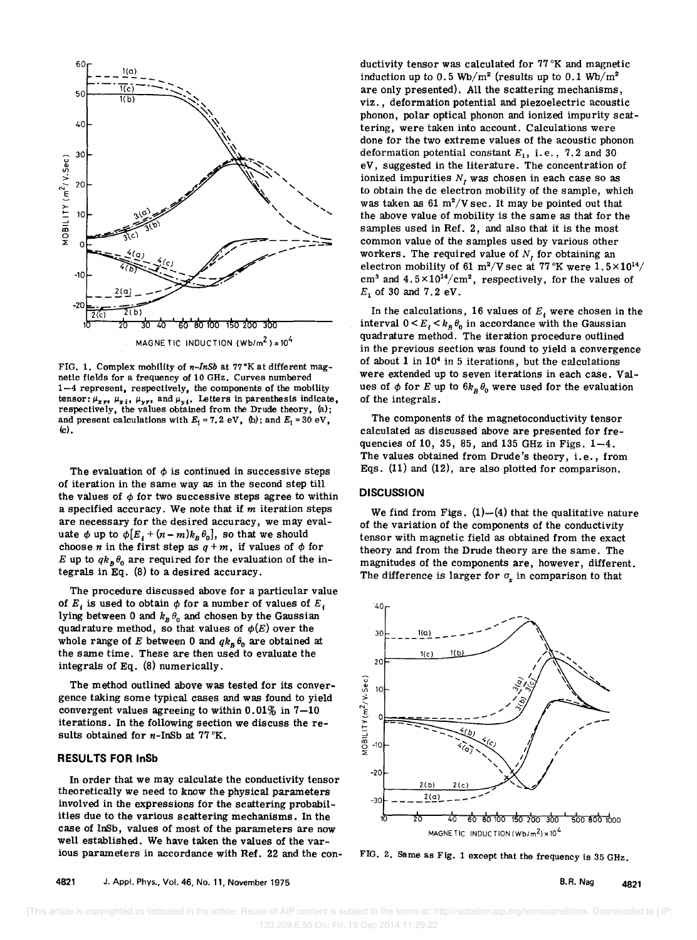

FIG. 1. Complex mobility of *n-InSb* at 77°K at different magnetic fields for a frequency of 10 GHz. Curves numbered 1-4 represent. respectively. the components of the mobility tensor:  $\mu_{x, r}, \mu_{x, i}, \mu_{y, r}$ , and  $\mu_{y, i}$ . Letters in parenthesis indicate, respectively. the values obtained from the Drude theory. (a); and present calculations with  $E_1 = 7.2 \text{ eV}$ , (b); and  $E_1 = 30 \text{ eV}$ , (c).

The evaluation of  $\phi$  is continued in successive steps of iteration in the same way as. in the second step till the values of  $\phi$  for two successive steps agree to within a specified accuracy. We note that if *m* iteration steps are necessary for the desired accuracy, we may evaluate  $\phi$  up to  $\phi[E_i + (n - m)k_B \theta_0]$ , so that we should choose *n* in the first step as  $q+m$ , if values of  $\phi$  for *E* up to  $q_k\theta$  are required for the evaluation of the integrals in Eq. (8) to a desired accuracy.

The procedure discussed above for a particular value of  $E_i$  is used to obtain  $\phi$  for a number of values of  $E_i$ lying between 0 and  $k_B \theta_0$  and chosen by the Gaussian quadrature method, so that values of  $\phi(E)$  over the whole range of *E* between 0 and  $q k_B \theta_0$  are obtained at the same time. These are then used to evaluate the integrals of Eq. (8) numerically.

The method outlined above was tested for its convergence taking some typical cases and was found to yield convergent values agreeing to within  $0.01\%$  in  $7-10$ iterations. In the following section we discuss the results obtained for  $n$ -InSb at  $77 \text{ °K}$ .

#### **RESULTS FOR InSb**

In order that we may calculate the conductivity tensor theoretically we need to know the physical parameters involved in the expressions for the scattering probabilities due to the various scattering mechanisms. In the case of InSb, values of most of the parameters are now well established. We have taken the values of the various parameters in accordance with Ref. 22 and the conductivity tensor was calculated for  $77\,^{\circ}\text{K}$  and magnetic induction up to 0.5 Wb/m<sup>2</sup> (results up to 0.1 Wb/m<sup>2</sup> are only presented). All the scattering mechanisms, viz., deformation potential and piezoelectric acoustic phonon, polar optical phonon and ionized impurity scattering, were taken into account. Calculations were done for the two extreme values of the acoustic phonon deformation potential constant  $E_1$ , i.e., 7.2 and 30 eV, suggested in the literature. The concentration of ionized impurities  $N$ , was chosen in each case so as to obtain the dc electron mobility of the sample, which was taken as 61  $m^2/V$  sec. It may be pointed out that the above value of mobility is the same as that for the samples used in Ref. 2, and also that it is the most common value of the samples used by various other workers. The required value of  $N<sub>I</sub>$  for obtaining an electron mobility of 61 m<sup>2</sup>/V sec at  $77 \degree K$  were  $1.5 \times 10^{14}$ / cm<sup>3</sup> and  $4.5 \times 10^{14}/\text{cm}^2$ , respectively, for the values of  $E_1$  of 30 and 7.2 eV.

In the calculations, 16 values of  $E_i$  were chosen in the interval  $0 \lt E_i \lt k_B \theta_0$  in accordance with the Gaussian quadrature method. The iteration procedure outlined in the previous section was found to yield a convergence of about  $1$  in  $10<sup>4</sup>$  in 5 iterations, but the calculations were extended up to seven iterations in each case. Values of  $\phi$  for *E* up to  $6k_B\theta_0$  were used for the evaluation of the integrals.

The components of the magnetoconductivity tensor calculated as discussed above are presented for frequencies of 10, 35, 85, and 135 GHz in Figs. 1-4. The values obtained from Drude's theory, i.e., from Eqs. (11) and (12), are also plotted for comparison.

#### **DISCUSSION**

We find from Figs.  $(1)$ - $(4)$  that the qualitative nature of the variation of the components of the conductivity tensor with magnetic field as obtained from the exact theory and from the Drude theory are the same. The magnitudes of the components are, however, different. The difference is larger for  $\sigma_r$  in comparison to that



FIG. 2. Same as Fig. 1 except that the frequency is 35 GHz.

B.R. Nag 4821